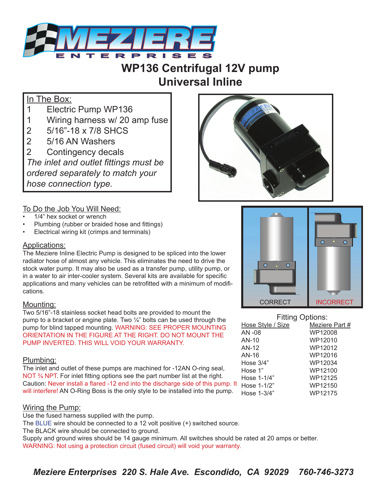

## **WP136 Centrifugal 12V pump Universal Inline**

## In The Box:

- 1 Electric Pump WP136
- 1 Wiring harness w/ 20 amp fuse
- 2 5/16"-18 x 7/8 SHCS
- 2 5/16 AN Washers
- 2 Contingency decals

*The inlet and outlet fittings must be ordered separately to match your hose connection type.*



# To Do the Job You Will Need:<br>• 1/4" hex socket or wrench

- 
- Plumbing (rubber or braided hose and fittings)
- Electrical wiring kit (crimps and terminals)

### Applications:

The Meziere Inline Electric Pump is designed to be spliced into the lower radiator hose of almost any vehicle. This eliminates the need to drive the stock water pump. It may also be used as a transfer pump, utility pump, or in a water to air inter-cooler system. Several kits are available for specific applications and many vehicles can be retrofitted with a minimum of modifications.

### Mounting:

Two 5/16"-18 stainless socket head bolts are provided to mount the pump to a bracket or engine plate. Two  $\frac{1}{4}$ " bolts can be used through the pump for blind tapped mounting. WARNING: SEE PROPER MOUNTING ORIENTATION IN THE FIGURE AT THE RIGHT. DO NOT MOUNT THE PUMP INVERTED. THIS WILL VOID YOUR WARRANTY.

### Plumbing:

The inlet and outlet of these pumps are machined for -12AN O-ring seal, NOT <sup>3</sup>/<sub>4</sub> NPT. For inlet fitting options see the part number list at the right. Caution: Never install a flared -12 end into the discharge side of this pump. It will interfere! AN O-Ring Boss is the only style to be installed into the pump.

Wiring the Pump:<br>Use the fused harness supplied with the pump. The BLUE wire should be connected to a 12 volt positive (+) switched source. The BLACK wire should be connected to ground. Supply and ground wires should be 14 gauge minimum. All switches should be rated at 20 amps or better. WARNING: Not using a protection circuit (fused circuit) will void your warranty.



| <b>Fitting Options:</b> |                |
|-------------------------|----------------|
| Hose Style / Size       | Meziere Part # |
| AN -08                  | WP12008        |
| $AN-10$                 | WP12010        |
| AN-12                   | WP12012        |
| AN-16                   | WP12016        |
| Hose $3/4"$             | WP12034        |
| Hose 1"                 | WP12100        |
| Hose 1-1/4"             | WP12125        |
| Hose 1-1/2"             | WP12150        |
| Hose $1-3/4"$           | WP12175        |